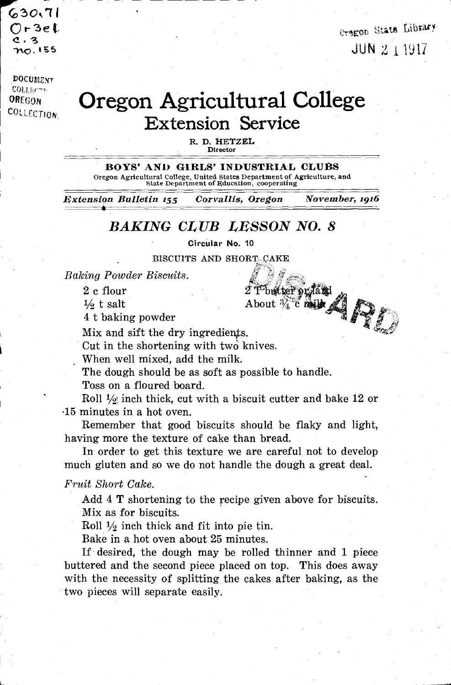(030,11  $O$ r 3e l.  $\overline{\mathbf{3}}$ no. 155

**Cregon** State Library JUN42, 1917

**DOCUMENT** COLLEGATION. OREGON<br>COLLECTION

## Oregon Agricultural College Extension Service

R. D. HETZEL **Director** 

BOYS' AND GIRLS' INDUSTRIAL CLUBS Oregon Agricultural College, United States Department of Agriculture, and State Department of clucation, cooperating

Extension Bulletin 155 Corvallis, Oregon November, 1916

## BAKING CLUB LESSON NO. 8

Circular No. 10

BISCUITS AND SHORT-CAKE

, Baking Powder Biscuits.

 $2$  c flour  $2$  T butter  $\gamma$  and  $\gamma$ 

 $\frac{1}{2}$  t salt About  $\frac{3}{4}$  c milk  $\frac{1}{4}$ 

4 t baking powder

Mix and sift the dry ingredients.

Cut in the shortening with two knives.

When well mixed, add the milk.

The dough should be as soft as possible to handle.

Toss on a floured board.

Roll  $\frac{1}{2}$  inch thick, cut with a biscuit cutter and bake 12 or .15 minutes in a hot oven.

Remember that good biscuits should be flaky and light, having more the texture of cake than bread.

In order to get this texture we are careful not to develop much gluten and so we do not handle the dough a great deal.

Fruit Short Cake.

Add 4 T shortening to the recipe given above for biscuits. Mix as for biscuits.

Roll  $\frac{1}{2}$  inch thick and fit into pie tin.

Bake in a hot oven about 25 minutes.

If desired, the dough may be rolled thinner and 1 piece buttered and the second piece placed on top. This does away with the necessity of splitting the cakes after baking, as the two pieces will separate easily.